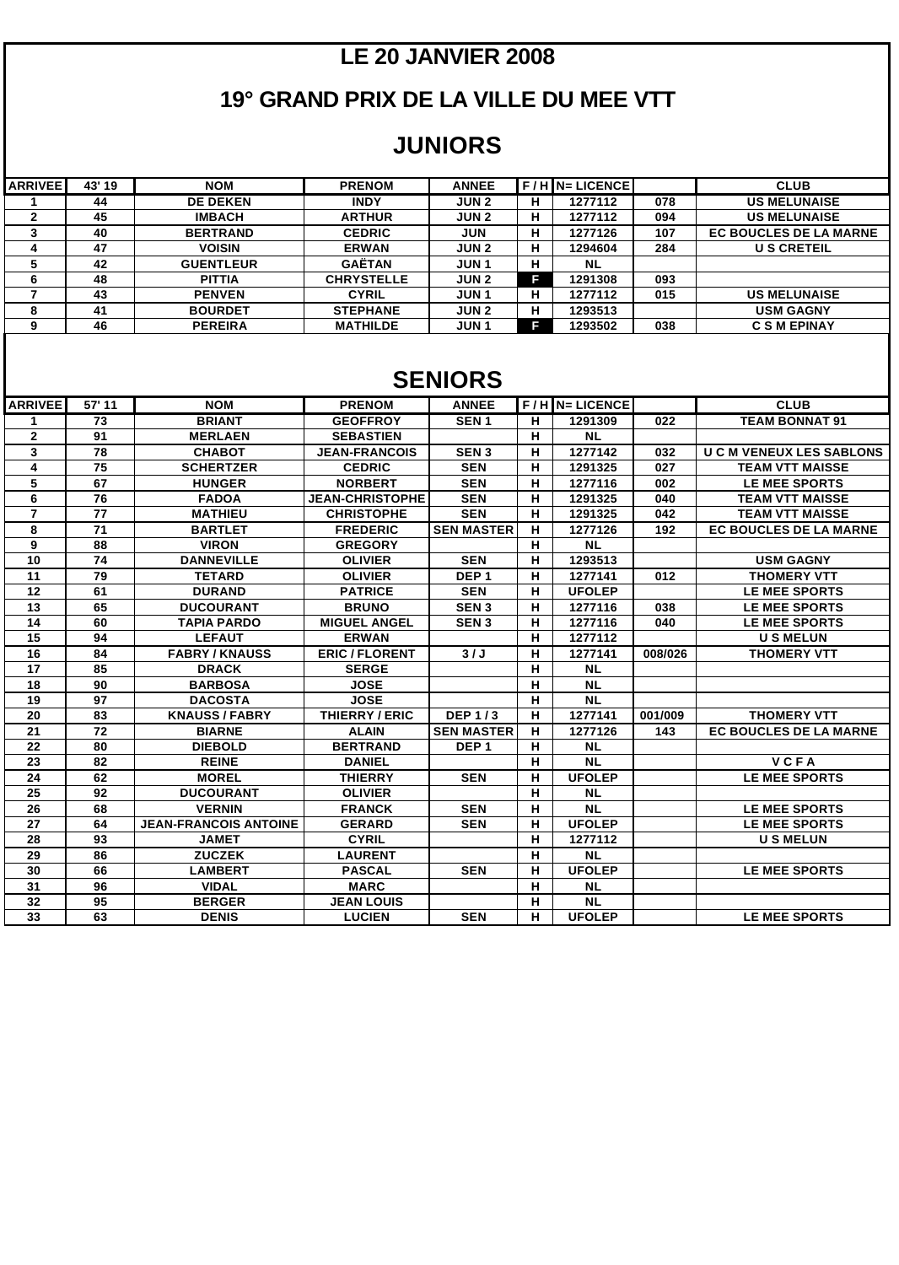### **LE 20 JANVIER 2008**

### **19° GRAND PRIX DE LA VILLE DU MEE VTT**

#### **JUNIORS**

| <b>ARRIVEE</b> | 43' 19 | <b>NOM</b>       | <b>PRENOM</b>     | <b>ANNEE</b> |   | F / H IN= LICENCEI |     | <b>CLUB</b>                   |
|----------------|--------|------------------|-------------------|--------------|---|--------------------|-----|-------------------------------|
|                | 44     | <b>DE DEKEN</b>  | <b>INDY</b>       | <b>JUN2</b>  | н | 1277112            | 078 | <b>US MELUNAISE</b>           |
| ◠<br>▴         | 45     | <b>IMBACH</b>    | <b>ARTHUR</b>     | <b>JUN2</b>  | н | 1277112            | 094 | <b>US MELUNAISE</b>           |
|                | 40     | <b>BERTRAND</b>  | <b>CEDRIC</b>     | <b>JUN</b>   | н | 1277126            | 107 | <b>EC BOUCLES DE LA MARNE</b> |
| 4              | 47     | <b>VOISIN</b>    | <b>ERWAN</b>      | <b>JUN2</b>  | н | 1294604            | 284 | <b>US CRETEIL</b>             |
| 5              | 42     | <b>GUENTLEUR</b> | <b>GAËTAN</b>     | <b>JUN1</b>  | н | <b>NL</b>          |     |                               |
| 6              | 48     | <b>PITTIA</b>    | <b>CHRYSTELLE</b> | <b>JUN2</b>  | п | 1291308            | 093 |                               |
|                | 43     | <b>PENVEN</b>    | <b>CYRIL</b>      | <b>JUN1</b>  | н | 1277112            | 015 | <b>US MELUNAISE</b>           |
| 8              | 41     | <b>BOURDET</b>   | <b>STEPHANE</b>   | <b>JUN2</b>  | н | 1293513            |     | <b>USM GAGNY</b>              |
| 9              | 46     | <b>PEREIRA</b>   | <b>MATHILDE</b>   | JUN 1        | G | 1293502            | 038 | <b>C S M EPINAY</b>           |

#### **SENIORS**

| <b>ARRIVEE</b> | 57' 11 | <b>NOM</b>                   | <b>PRENOM</b>          | <b>ANNEE</b>      |   | F/H N= LICENCE |         | <b>CLUB</b>                   |
|----------------|--------|------------------------------|------------------------|-------------------|---|----------------|---------|-------------------------------|
| 1              | 73     | <b>BRIANT</b>                | <b>GEOFFROY</b>        | SEN <sub>1</sub>  | H | 1291309        | 022     | <b>TEAM BONNAT 91</b>         |
| $\overline{2}$ | 91     | <b>MERLAEN</b>               | <b>SEBASTIEN</b>       |                   | н | <b>NL</b>      |         |                               |
| $\mathbf{3}$   | 78     | <b>CHABOT</b>                | <b>JEAN-FRANCOIS</b>   | SEN <sub>3</sub>  | H | 1277142        | 032     | <b>UCM VENEUX LES SABLONS</b> |
| 4              | 75     | <b>SCHERTZER</b>             | <b>CEDRIC</b>          | <b>SEN</b>        | н | 1291325        | 027     | <b>TEAM VTT MAISSE</b>        |
| 5              | 67     | <b>HUNGER</b>                | <b>NORBERT</b>         | <b>SEN</b>        | H | 1277116        | 002     | <b>LE MEE SPORTS</b>          |
| 6              | 76     | <b>FADOA</b>                 | <b>JEAN-CHRISTOPHE</b> | <b>SEN</b>        | H | 1291325        | 040     | <b>TEAM VTT MAISSE</b>        |
| $\overline{7}$ | 77     | <b>MATHIEU</b>               | <b>CHRISTOPHE</b>      | <b>SEN</b>        | H | 1291325        | 042     | <b>TEAM VTT MAISSE</b>        |
| 8              | 71     | <b>BARTLET</b>               | <b>FREDERIC</b>        | <b>SEN MASTER</b> | н | 1277126        | 192     | <b>EC BOUCLES DE LA MARNE</b> |
| 9              | 88     | <b>VIRON</b>                 | <b>GREGORY</b>         |                   | H | <b>NL</b>      |         |                               |
| 10             | 74     | <b>DANNEVILLE</b>            | <b>OLIVIER</b>         | <b>SEN</b>        | н | 1293513        |         | <b>USM GAGNY</b>              |
| 11             | 79     | <b>TETARD</b>                | <b>OLIVIER</b>         | DEP <sub>1</sub>  | н | 1277141        | 012     | <b>THOMERY VTT</b>            |
| 12             | 61     | <b>DURAND</b>                | <b>PATRICE</b>         | <b>SEN</b>        | н | <b>UFOLEP</b>  |         | <b>LE MEE SPORTS</b>          |
| 13             | 65     | <b>DUCOURANT</b>             | <b>BRUNO</b>           | SEN <sub>3</sub>  | н | 1277116        | 038     | <b>LE MEE SPORTS</b>          |
| 14             | 60     | <b>TAPIA PARDO</b>           | <b>MIGUEL ANGEL</b>    | SEN <sub>3</sub>  | н | 1277116        | 040     | <b>LE MEE SPORTS</b>          |
| 15             | 94     | <b>LEFAUT</b>                | <b>ERWAN</b>           |                   | н | 1277112        |         | <b>USMELUN</b>                |
| 16             | 84     | <b>FABRY/KNAUSS</b>          | <b>ERIC / FLORENT</b>  | 3/J               | н | 1277141        | 008/026 | <b>THOMERY VTT</b>            |
| 17             | 85     | <b>DRACK</b>                 | <b>SERGE</b>           |                   | н | <b>NL</b>      |         |                               |
| 18             | 90     | <b>BARBOSA</b>               | <b>JOSE</b>            |                   | н | <b>NL</b>      |         |                               |
| 19             | 97     | <b>DACOSTA</b>               | <b>JOSE</b>            |                   | н | <b>NL</b>      |         |                               |
| 20             | 83     | <b>KNAUSS/FABRY</b>          | THIERRY / ERIC         | <b>DEP1/3</b>     | н | 1277141        | 001/009 | <b>THOMERY VTT</b>            |
| 21             | 72     | <b>BIARNE</b>                | <b>ALAIN</b>           | <b>SEN MASTER</b> | н | 1277126        | 143     | <b>EC BOUCLES DE LA MARNE</b> |
| 22             | 80     | <b>DIEBOLD</b>               | <b>BERTRAND</b>        | DEP <sub>1</sub>  | н | <b>NL</b>      |         |                               |
| 23             | 82     | <b>REINE</b>                 | <b>DANIEL</b>          |                   | н | <b>NL</b>      |         | <b>VCFA</b>                   |
| 24             | 62     | <b>MOREL</b>                 | <b>THIERRY</b>         | <b>SEN</b>        | н | <b>UFOLEP</b>  |         | <b>LE MEE SPORTS</b>          |
| 25             | 92     | <b>DUCOURANT</b>             | <b>OLIVIER</b>         |                   | н | <b>NL</b>      |         |                               |
| 26             | 68     | <b>VERNIN</b>                | <b>FRANCK</b>          | <b>SEN</b>        | н | <b>NL</b>      |         | <b>LE MEE SPORTS</b>          |
| 27             | 64     | <b>JEAN-FRANCOIS ANTOINE</b> | <b>GERARD</b>          | <b>SEN</b>        | н | <b>UFOLEP</b>  |         | <b>LE MEE SPORTS</b>          |
| 28             | 93     | <b>JAMET</b>                 | <b>CYRIL</b>           |                   | н | 1277112        |         | <b>USMELUN</b>                |
| 29             | 86     | <b>ZUCZEK</b>                | <b>LAURENT</b>         |                   | н | <b>NL</b>      |         |                               |
| 30             | 66     | <b>LAMBERT</b>               | <b>PASCAL</b>          | <b>SEN</b>        | н | <b>UFOLEP</b>  |         | <b>LE MEE SPORTS</b>          |
| 31             | 96     | <b>VIDAL</b>                 | <b>MARC</b>            |                   | н | <b>NL</b>      |         |                               |
| 32             | 95     | <b>BERGER</b>                | <b>JEAN LOUIS</b>      |                   | н | <b>NL</b>      |         |                               |
| 33             | 63     | <b>DENIS</b>                 | <b>LUCIEN</b>          | <b>SEN</b>        | н | <b>UFOLEP</b>  |         | LE MEE SPORTS                 |